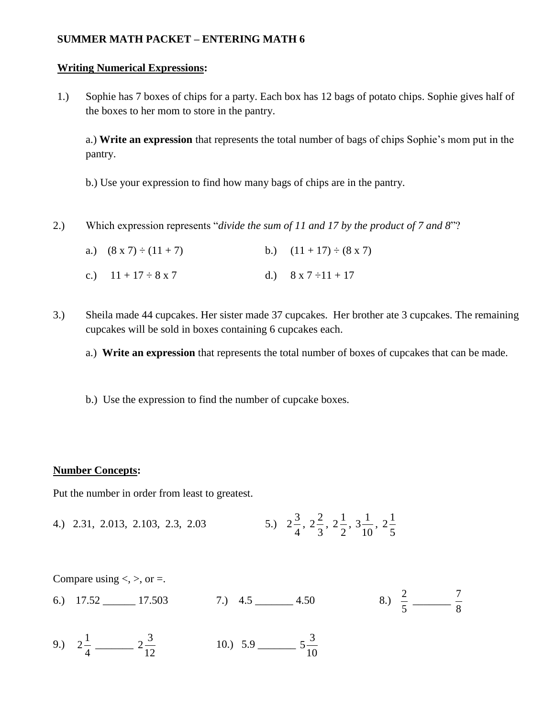## **SUMMER MATH PACKET – ENTERING MATH 6**

### **Writing Numerical Expressions:**

1.) Sophie has 7 boxes of chips for a party. Each box has 12 bags of potato chips. Sophie gives half of the boxes to her mom to store in the pantry.

a.) **Write an expression** that represents the total number of bags of chips Sophie's mom put in the pantry.

b.) Use your expression to find how many bags of chips are in the pantry.

2.) Which expression represents "*divide the sum of 11 and 17 by the product of 7 and 8*"?

| a.) $(8 \times 7) \div (11 + 7)$ | b.) $(11 + 17) \div (8 \times 7)$ |
|----------------------------------|-----------------------------------|
| c.) $11 + 17 \div 8 \times 7$    | d.) $8 \times 7 \div 11 + 17$     |

- 3.) Sheila made 44 cupcakes. Her sister made 37 cupcakes. Her brother ate 3 cupcakes. The remaining cupcakes will be sold in boxes containing 6 cupcakes each.
	- a.) **Write an expression** that represents the total number of boxes of cupcakes that can be made.
	- b.) Use the expression to find the number of cupcake boxes.

## **Number Concepts:**

Put the number in order from least to greatest.

4.) 2.31, 2.013, 2.103, 2.3, 2.03 4  $2\frac{3}{4}$ , 3  $2\frac{2}{3}$ , 2  $2\frac{1}{2}$ , 10  $3\frac{1}{10}$ , 5  $2^{1/2}$ 

Compare using  $\lt$ ,  $\gt$ , or  $=$ .

- 6.)  $17.52$   $17.503$   $7.$ )  $4.5$   $4.50$ 5 2 \_\_\_\_\_\_\_ 8 7
- 9.) 4 1 2 \_\_\_\_\_\_\_ 12  $2\frac{3}{2}$ 10.) 5.9 \_\_\_\_\_\_\_ 10  $5\frac{3}{16}$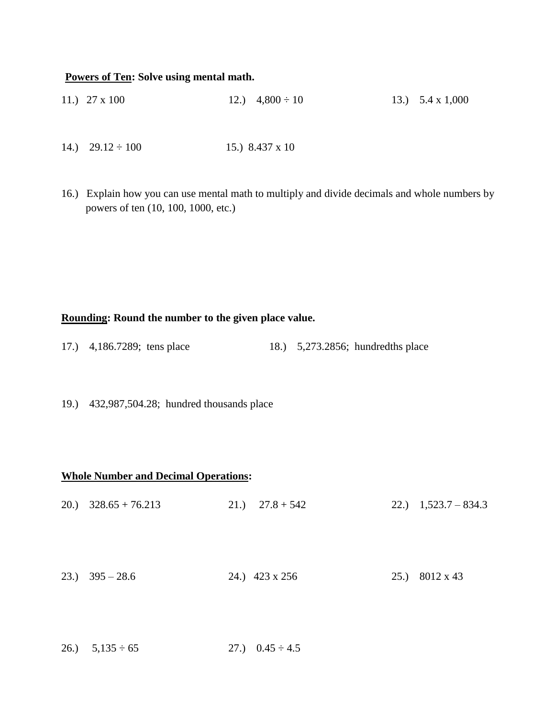#### **Powers of Ten: Solve using mental math.**

- 11.)  $27 \times 100$  12.)  $4,800 \div 10$  13.)  $5.4 \times 1,000$
- 14.)  $29.12 \div 100$  15.) 8.437 x 10
- 16.) Explain how you can use mental math to multiply and divide decimals and whole numbers by powers of ten (10, 100, 1000, etc.)

### **Rounding: Round the number to the given place value.**

- 17.) 4,186.7289; tens place 18.) 5,273.2856; hundredths place
- 19.) 432,987,504.28; hundred thousands place

#### **Whole Number and Decimal Operations:**

| 20.) $328.65 + 76.213$ |  | 21.) $27.8 + 542$ | 22.) $1,523.7-834.3$ |
|------------------------|--|-------------------|----------------------|
| 23.) $395 - 28.6$      |  | 24.) 423 x 256    | 25.) 8012 x 43       |

26.)  $5,135 \div 65$  27.)  $0.45 \div 4.5$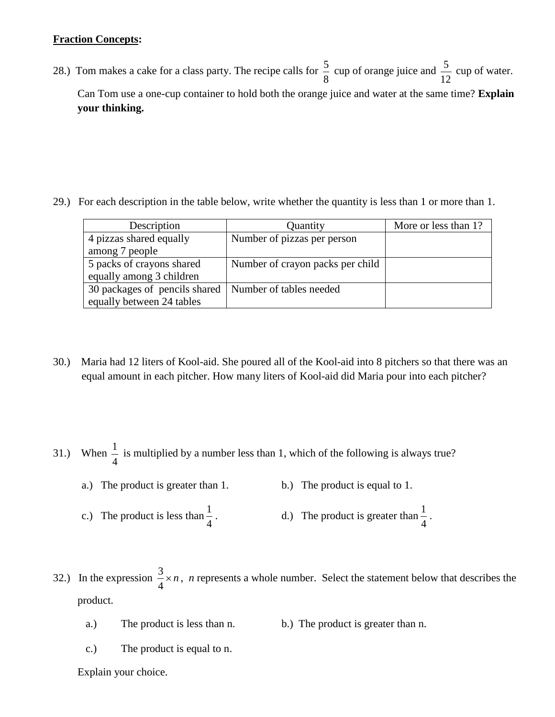# **Fraction Concepts:**

28.) Tom makes a cake for a class party. The recipe calls for 8  $\frac{5}{6}$  cup of orange juice and 12  $\frac{5}{2}$  cup of water. Can Tom use a one-cup container to hold both the orange juice and water at the same time? **Explain your thinking.**

29.) For each description in the table below, write whether the quantity is less than 1 or more than 1.

| Description                   | Quantity                         | More or less than 1? |
|-------------------------------|----------------------------------|----------------------|
| 4 pizzas shared equally       | Number of pizzas per person      |                      |
| among 7 people                |                                  |                      |
| 5 packs of crayons shared     | Number of crayon packs per child |                      |
| equally among 3 children      |                                  |                      |
| 30 packages of pencils shared | Number of tables needed          |                      |
| equally between 24 tables     |                                  |                      |
|                               |                                  |                      |

30.) Maria had 12 liters of Kool-aid. She poured all of the Kool-aid into 8 pitchers so that there was an equal amount in each pitcher. How many liters of Kool-aid did Maria pour into each pitcher?

31.) When 4  $\frac{1}{x}$  is multiplied by a number less than 1, which of the following is always true?

- a.) The product is greater than 1. b.) The product is equal to 1.
- c.) The product is less than 4 1 . d.) The product is greater than 4  $\frac{1}{1}$ .

32.) In the expression  $\frac{3}{x} \times n$ 4  $\frac{3}{2} \times n$ , *n* represents a whole number. Select the statement below that describes the product.

- a.) The product is less than n. b.) The product is greater than n.
- c.) The product is equal to n.
- Explain your choice.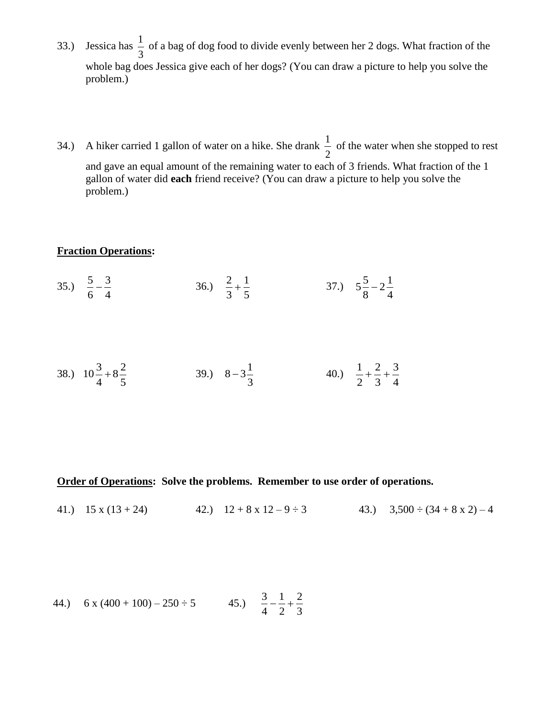- 33.) Jessica has  $\frac{1}{2}$  of a bag of dog food to divide evenly between her 2 dogs. What fraction of the whole bag does Jessica give each of her dogs? (You can draw a picture to help you solve the problem.)
- 34.) A hiker carried 1 gallon of water on a hike. She drank  $\frac{1}{2}$  of the water when she stopped to rest and gave an equal amount of the remaining water to each of 3 friends. What fraction of the 1 gallon of water did **each** friend receive? (You can draw a picture to help you solve the problem.)

# **Fraction Operations:**

35.) 
$$
\frac{5}{6} - \frac{3}{4}
$$
 36.)  $\frac{2}{3} + \frac{1}{5}$  37.)  $5\frac{5}{8} - 2\frac{1}{4}$ 

38.) 
$$
10\frac{3}{4} + 8\frac{2}{5}
$$
 39.)  $8-3\frac{1}{3}$  40.)  $\frac{1}{2} + \frac{2}{3} + \frac{3}{4}$ 

**Order of Operations: Solve the problems. Remember to use order of operations.**

41.)  $15 \times (13 + 24)$  42.)  $12 + 8 \times 12 - 9 \div 3$  43.)  $3,500 \div (34 + 8 \times 2) - 4$ 

44.) 
$$
6 x (400 + 100) - 250 \div 5
$$
 45.)  $\frac{3}{4} - \frac{1}{2} + \frac{2}{3}$